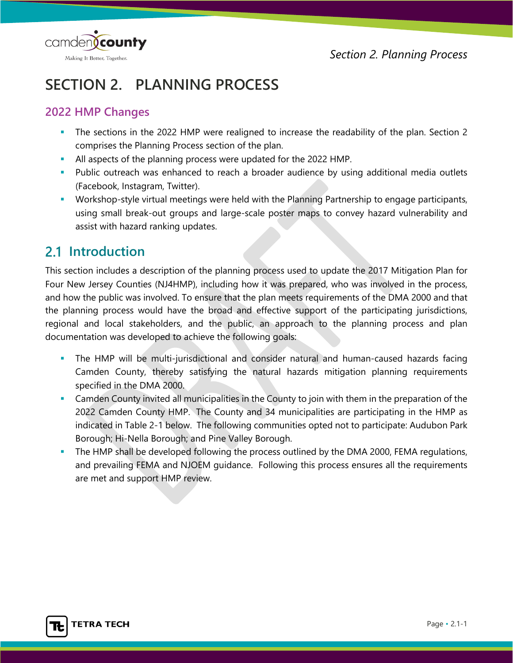

# **SECTION 2. PLANNING PROCESS**

### **2022 HMP Changes**

- The sections in the 2022 HMP were realigned to increase the readability of the plan. Section 2 comprises the Planning Process section of the plan.
- All aspects of the planning process were updated for the 2022 HMP.
- **Public outreach was enhanced to reach a broader audience by using additional media outlets** (Facebook, Instagram, Twitter).
- Workshop-style virtual meetings were held with the Planning Partnership to engage participants, using small break-out groups and large-scale poster maps to convey hazard vulnerability and assist with hazard ranking updates.

## 2.1 Introduction

This section includes a description of the planning process used to update the 2017 Mitigation Plan for Four New Jersey Counties (NJ4HMP), including how it was prepared, who was involved in the process, and how the public was involved. To ensure that the plan meets requirements of the DMA 2000 and that the planning process would have the broad and effective support of the participating jurisdictions, regional and local stakeholders, and the public, an approach to the planning process and plan documentation was developed to achieve the following goals:

- The HMP will be multi-jurisdictional and consider natural and human-caused hazards facing Camden County, thereby satisfying the natural hazards mitigation planning requirements specified in the DMA 2000.
- Camden County invited all municipalities in the County to join with them in the preparation of the 2022 Camden County HMP. The County and 34 municipalities are participating in the HMP as indicated in Table 2-1 below. The following communities opted not to participate: Audubon Park Borough; Hi-Nella Borough; and Pine Valley Borough.
- The HMP shall be developed following the process outlined by the DMA 2000, FEMA regulations, and prevailing FEMA and NJOEM guidance. Following this process ensures all the requirements are met and support HMP review.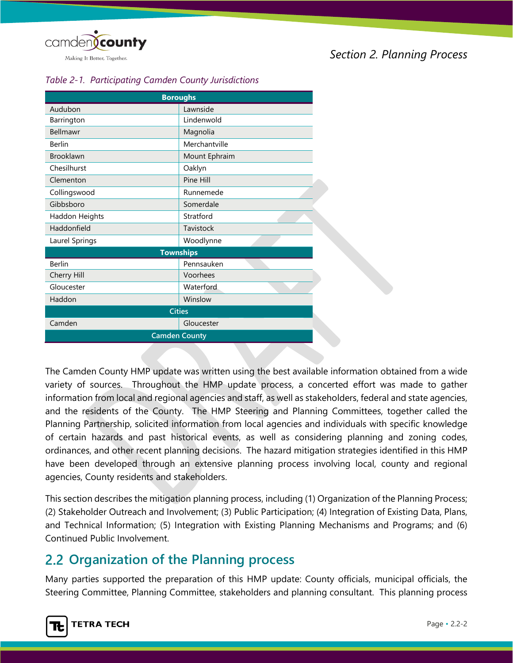

#### *Table 2-1. Participating Camden County Jurisdictions*

|                  | <b>Boroughs</b>      |  |
|------------------|----------------------|--|
| Audubon          | Lawnside             |  |
| Barrington       | Lindenwold           |  |
| <b>Bellmawr</b>  | Magnolia             |  |
| Berlin           | Merchantville        |  |
| <b>Brooklawn</b> | Mount Ephraim        |  |
| Chesilhurst      | Oaklyn               |  |
| Clementon        | Pine Hill            |  |
| Collingswood     | Runnemede            |  |
| Gibbsboro        | Somerdale            |  |
| Haddon Heights   | Stratford            |  |
| Haddonfield      | Tavistock            |  |
| Laurel Springs   | Woodlynne            |  |
|                  | <b>Townships</b>     |  |
| <b>Berlin</b>    | Pennsauken           |  |
| Cherry Hill      | Voorhees             |  |
| Gloucester       | Waterford            |  |
| Haddon           | Winslow              |  |
|                  | <b>Cities</b>        |  |
| Camden           | Gloucester           |  |
|                  | <b>Camden County</b> |  |

The Camden County HMP update was written using the best available information obtained from a wide variety of sources. Throughout the HMP update process, a concerted effort was made to gather information from local and regional agencies and staff, as well as stakeholders, federal and state agencies, and the residents of the County. The HMP Steering and Planning Committees, together called the Planning Partnership, solicited information from local agencies and individuals with specific knowledge of certain hazards and past historical events, as well as considering planning and zoning codes, ordinances, and other recent planning decisions. The hazard mitigation strategies identified in this HMP have been developed through an extensive planning process involving local, county and regional agencies, County residents and stakeholders.

This section describes the mitigation planning process, including (1) Organization of the Planning Process; (2) Stakeholder Outreach and Involvement; (3) Public Participation; (4) Integration of Existing Data, Plans, and Technical Information; (5) Integration with Existing Planning Mechanisms and Programs; and (6) Continued Public Involvement.

## **Organization of the Planning process**

Many parties supported the preparation of this HMP update: County officials, municipal officials, the Steering Committee, Planning Committee, stakeholders and planning consultant. This planning process

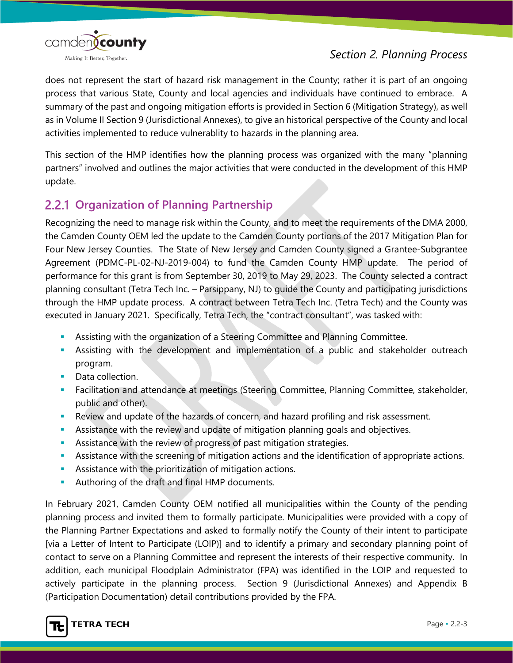

does not represent the start of hazard risk management in the County; rather it is part of an ongoing process that various State, County and local agencies and individuals have continued to embrace. A summary of the past and ongoing mitigation efforts is provided in Section 6 (Mitigation Strategy), as well as in Volume II Section 9 (Jurisdictional Annexes), to give an historical perspective of the County and local activities implemented to reduce vulnerablity to hazards in the planning area.

This section of the HMP identifies how the planning process was organized with the many "planning partners" involved and outlines the major activities that were conducted in the development of this HMP update.

### **Organization of Planning Partnership**

Recognizing the need to manage risk within the County, and to meet the requirements of the DMA 2000, the Camden County OEM led the update to the Camden County portions of the 2017 Mitigation Plan for Four New Jersey Counties. The State of New Jersey and Camden County signed a Grantee-Subgrantee Agreement (PDMC-PL-02-NJ-2019-004) to fund the Camden County HMP update. The period of performance for this grant is from September 30, 2019 to May 29, 2023. The County selected a contract planning consultant (Tetra Tech Inc. – Parsippany, NJ) to guide the County and participating jurisdictions through the HMP update process. A contract between Tetra Tech Inc. (Tetra Tech) and the County was executed in January 2021. Specifically, Tetra Tech, the "contract consultant", was tasked with:

- Assisting with the organization of a Steering Committee and Planning Committee.
- Assisting with the development and implementation of a public and stakeholder outreach program.
- **•** Data collection.
- Facilitation and attendance at meetings (Steering Committee, Planning Committee, stakeholder, public and other).
- Review and update of the hazards of concern, and hazard profiling and risk assessment.
- Assistance with the review and update of mitigation planning goals and objectives.
- Assistance with the review of progress of past mitigation strategies.
- Assistance with the screening of mitigation actions and the identification of appropriate actions.
- Assistance with the prioritization of mitigation actions.
- Authoring of the draft and final HMP documents.

In February 2021, Camden County OEM notified all municipalities within the County of the pending planning process and invited them to formally participate. Municipalities were provided with a copy of the Planning Partner Expectations and asked to formally notify the County of their intent to participate [via a Letter of Intent to Participate (LOIP)] and to identify a primary and secondary planning point of contact to serve on a Planning Committee and represent the interests of their respective community. In addition, each municipal Floodplain Administrator (FPA) was identified in the LOIP and requested to actively participate in the planning process. Section 9 (Jurisdictional Annexes) and Appendix B (Participation Documentation) detail contributions provided by the FPA.

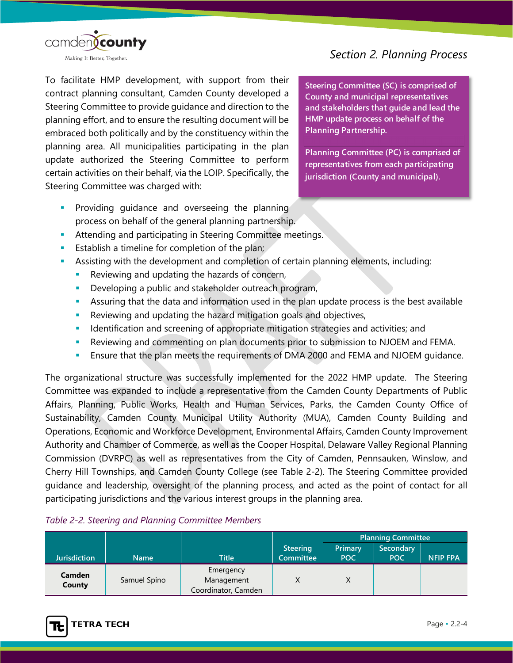

To facilitate HMP development, with support from their contract planning consultant, Camden County developed a Steering Committee to provide guidance and direction to the planning effort, and to ensure the resulting document will be embraced both politically and by the constituency within the planning area. All municipalities participating in the plan update authorized the Steering Committee to perform certain activities on their behalf, via the LOIP. Specifically, the Steering Committee was charged with:

 Providing guidance and overseeing the planning process on behalf of the general planning partnership.

### *Section 2. Planning Process*

**Steering Committee (SC) is comprised of County and municipal representatives and stakeholders that guide and lead the HMP update process on behalf of the Planning Partnership.** 

**Planning Committee (PC) is comprised of representatives from each participating jurisdiction (County and municipal).**

- **Attending and participating in Steering Committee meetings.**
- Establish a timeline for completion of the plan;
- Assisting with the development and completion of certain planning elements, including:
	- Reviewing and updating the hazards of concern,
	- **Developing a public and stakeholder outreach program,**
	- Assuring that the data and information used in the plan update process is the best available
	- Reviewing and updating the hazard mitigation goals and objectives,
	- If Identification and screening of appropriate mitigation strategies and activities; and
	- Reviewing and commenting on plan documents prior to submission to NJOEM and FEMA.
	- Ensure that the plan meets the requirements of DMA 2000 and FEMA and NJOEM guidance.

The organizational structure was successfully implemented for the 2022 HMP update. The Steering Committee was expanded to include a representative from the Camden County Departments of Public Affairs, Planning, Public Works, Health and Human Services, Parks, the Camden County Office of Sustainability, Camden County Municipal Utility Authority (MUA), Camden County Building and Operations, Economic and Workforce Development, Environmental Affairs, Camden County Improvement Authority and Chamber of Commerce, as well as the Cooper Hospital, Delaware Valley Regional Planning Commission (DVRPC) as well as representatives from the City of Camden, Pennsauken, Winslow, and Cherry Hill Townships, and Camden County College (see Table 2-2). The Steering Committee provided guidance and leadership, oversight of the planning process, and acted as the point of contact for all participating jurisdictions and the various interest groups in the planning area.

|                         |              |                                                |                              |                       | <b>Planning Committee</b> |                 |
|-------------------------|--------------|------------------------------------------------|------------------------------|-----------------------|---------------------------|-----------------|
| <b>Jurisdiction</b>     | Name         | <b>Title</b>                                   | <b>Steering</b><br>Committee | Primary<br><b>POC</b> | Secondary<br><b>POC</b>   | <b>NFIP FPA</b> |
| Camden<br><b>County</b> | Samuel Spino | Emergency<br>Management<br>Coordinator, Camden | Χ                            | Χ                     |                           |                 |

#### *Table 2-2. Steering and Planning Committee Members*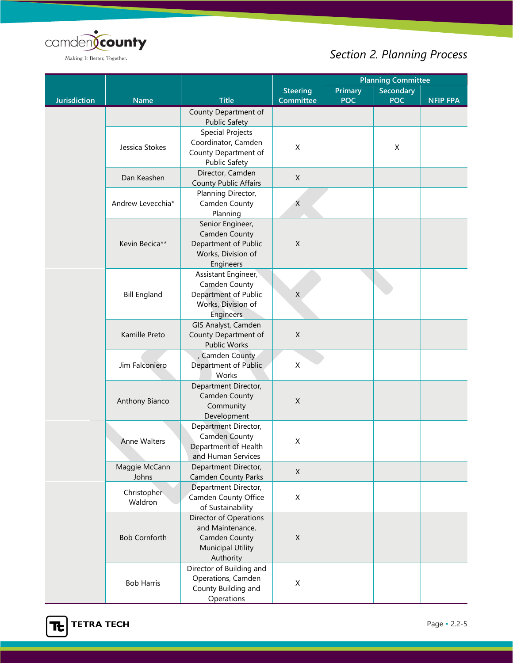

|                     |                        |                                                 |                 |            | <b>Planning Committee</b> |                 |
|---------------------|------------------------|-------------------------------------------------|-----------------|------------|---------------------------|-----------------|
|                     |                        |                                                 | <b>Steering</b> | Primary    | <b>Secondary</b>          |                 |
| <b>Jurisdiction</b> | <b>Name</b>            | <b>Title</b>                                    | Committee       | <b>POC</b> | <b>POC</b>                | <b>NFIP FPA</b> |
|                     |                        | County Department of                            |                 |            |                           |                 |
|                     |                        | <b>Public Safety</b><br><b>Special Projects</b> |                 |            |                           |                 |
|                     |                        | Coordinator, Camden                             |                 |            |                           |                 |
|                     | Jessica Stokes         | County Department of                            | $\mathsf X$     |            | X                         |                 |
|                     |                        | <b>Public Safety</b>                            |                 |            |                           |                 |
|                     | Dan Keashen            | Director, Camden                                | $\mathsf X$     |            |                           |                 |
|                     |                        | <b>County Public Affairs</b>                    |                 |            |                           |                 |
|                     |                        | Planning Director,                              |                 |            |                           |                 |
|                     | Andrew Levecchia*      | Camden County                                   | $\mathsf X$     |            |                           |                 |
|                     |                        | Planning                                        |                 |            |                           |                 |
|                     |                        | Senior Engineer,                                |                 |            |                           |                 |
|                     | Kevin Becica**         | Camden County<br>Department of Public           | $\mathsf X$     |            |                           |                 |
|                     |                        | Works, Division of                              |                 |            |                           |                 |
|                     |                        | Engineers                                       |                 |            |                           |                 |
|                     |                        | Assistant Engineer,                             |                 |            |                           |                 |
|                     |                        | Camden County                                   |                 |            |                           |                 |
|                     | <b>Bill England</b>    | Department of Public                            | X               |            |                           |                 |
|                     |                        | Works, Division of                              |                 |            |                           |                 |
|                     |                        | Engineers                                       |                 |            |                           |                 |
|                     |                        | GIS Analyst, Camden                             |                 |            |                           |                 |
|                     | Kamille Preto          | County Department of<br>Public Works            | $\mathsf X$     |            |                           |                 |
|                     |                        | , Camden County                                 |                 |            |                           |                 |
|                     | Jim Falconiero         | Department of Public                            | $\mathsf X$     |            |                           |                 |
|                     |                        | Works                                           |                 |            |                           |                 |
|                     |                        | Department Director,                            |                 |            |                           |                 |
|                     | Anthony Bianco         | Camden County                                   | X               |            |                           |                 |
|                     |                        | Community                                       |                 |            |                           |                 |
|                     |                        | Development                                     |                 |            |                           |                 |
|                     |                        | Department Director,                            |                 |            |                           |                 |
|                     | <b>Anne Walters</b>    | <b>Camden County</b><br>Department of Health    | X               |            |                           |                 |
|                     |                        | and Human Services                              |                 |            |                           |                 |
|                     | Maggie McCann          | Department Director,                            |                 |            |                           |                 |
|                     | Johns                  | <b>Camden County Parks</b>                      | X               |            |                           |                 |
|                     |                        | Department Director,                            |                 |            |                           |                 |
|                     | Christopher<br>Waldron | Camden County Office                            | X               |            |                           |                 |
|                     |                        | of Sustainability                               |                 |            |                           |                 |
|                     |                        | Director of Operations                          |                 |            |                           |                 |
|                     |                        | and Maintenance,                                |                 |            |                           |                 |
|                     | <b>Bob Cornforth</b>   | Camden County                                   | $\mathsf X$     |            |                           |                 |
|                     |                        | <b>Municipal Utility</b><br>Authority           |                 |            |                           |                 |
|                     |                        | Director of Building and                        |                 |            |                           |                 |
|                     |                        | Operations, Camden                              |                 |            |                           |                 |
|                     | <b>Bob Harris</b>      | County Building and                             | Χ               |            |                           |                 |
|                     |                        | Operations                                      |                 |            |                           |                 |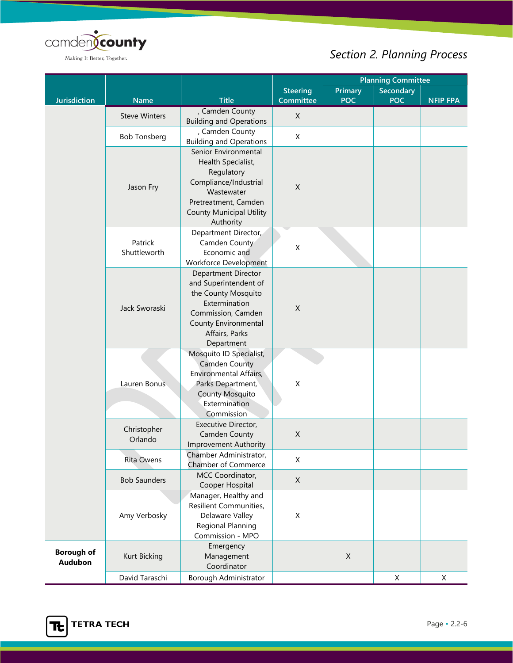

|                                     |                        |                                                                                                                                                         |                 |                | <b>Planning Committee</b> |                 |
|-------------------------------------|------------------------|---------------------------------------------------------------------------------------------------------------------------------------------------------|-----------------|----------------|---------------------------|-----------------|
|                                     |                        |                                                                                                                                                         | <b>Steering</b> | <b>Primary</b> | <b>Secondary</b>          |                 |
| Jurisdiction                        | <b>Name</b>            | <b>Title</b>                                                                                                                                            | Committee       | <b>POC</b>     | <b>POC</b>                | <b>NFIP FPA</b> |
|                                     | <b>Steve Winters</b>   | , Camden County                                                                                                                                         | $\mathsf X$     |                |                           |                 |
|                                     |                        | <b>Building and Operations</b><br>, Camden County                                                                                                       |                 |                |                           |                 |
|                                     | <b>Bob Tonsberg</b>    | <b>Building and Operations</b>                                                                                                                          | X               |                |                           |                 |
|                                     |                        | Senior Environmental                                                                                                                                    |                 |                |                           |                 |
|                                     | Jason Fry              | Health Specialist,<br>Regulatory<br>Compliance/Industrial<br>Wastewater<br>Pretreatment, Camden<br><b>County Municipal Utility</b><br>Authority         | $\mathsf X$     |                |                           |                 |
|                                     |                        | Department Director,                                                                                                                                    |                 |                |                           |                 |
|                                     | Patrick                | Camden County                                                                                                                                           | X               |                |                           |                 |
|                                     | Shuttleworth           | Economic and                                                                                                                                            |                 |                |                           |                 |
|                                     |                        | Workforce Development<br><b>Department Director</b>                                                                                                     |                 |                |                           |                 |
|                                     | Jack Sworaski          | and Superintendent of<br>the County Mosquito<br>Extermination<br>Commission, Camden<br>County Environmental<br>Affairs, Parks<br>Department             | $\mathsf X$     |                |                           |                 |
|                                     | Lauren Bonus           | Mosquito ID Specialist,<br><b>Camden County</b><br>Environmental Affairs,<br>Parks Department,<br><b>County Mosquito</b><br>Extermination<br>Commission | Χ               |                |                           |                 |
|                                     | Christopher<br>Orlando | Executive Director,<br><b>Camden County</b><br>Improvement Authority                                                                                    | X               |                |                           |                 |
|                                     | Rita Owens             | Chamber Administrator,<br><b>Chamber of Commerce</b>                                                                                                    | X               |                |                           |                 |
|                                     | <b>Bob Saunders</b>    | MCC Coordinator,<br>Cooper Hospital                                                                                                                     | $\mathsf X$     |                |                           |                 |
|                                     | Amy Verbosky           | Manager, Healthy and<br>Resilient Communities,<br>Delaware Valley<br>Regional Planning<br>Commission - MPO                                              | X               |                |                           |                 |
| <b>Borough of</b><br><b>Audubon</b> | Kurt Bicking           | Emergency<br>Management<br>Coordinator                                                                                                                  |                 | $\mathsf{X}$   |                           |                 |
|                                     | David Taraschi         | Borough Administrator                                                                                                                                   |                 |                | X                         | X               |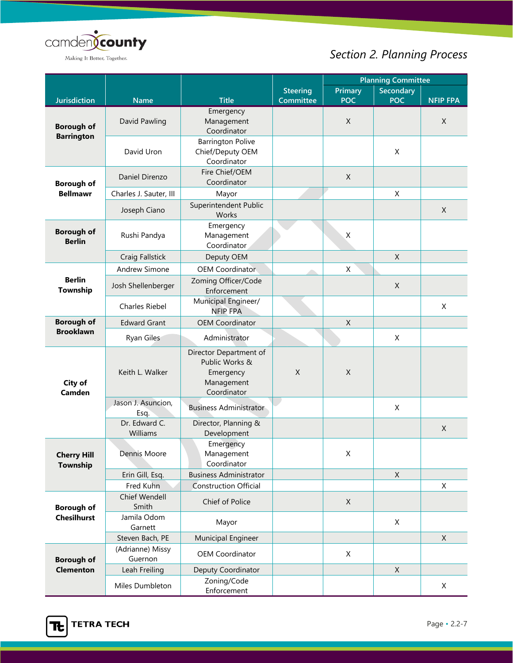

|                                    |                             |                                                                                    |                 |                | <b>Planning Committee</b> |                 |
|------------------------------------|-----------------------------|------------------------------------------------------------------------------------|-----------------|----------------|---------------------------|-----------------|
|                                    |                             |                                                                                    | <b>Steering</b> | <b>Primary</b> | <b>Secondary</b>          |                 |
| <b>Jurisdiction</b>                | <b>Name</b>                 | <b>Title</b>                                                                       | Committee       | <b>POC</b>     | <b>POC</b>                | <b>NFIP FPA</b> |
| <b>Borough of</b>                  | David Pawling               | Emergency<br>Management<br>Coordinator                                             |                 | X              |                           | $\sf X$         |
| <b>Barrington</b>                  | David Uron                  | <b>Barrington Polive</b><br>Chief/Deputy OEM<br>Coordinator                        |                 |                | X                         |                 |
| <b>Borough of</b>                  | Daniel Direnzo              | Fire Chief/OEM<br>Coordinator                                                      |                 | X              |                           |                 |
| <b>Bellmawr</b>                    | Charles J. Sauter, III      | Mayor                                                                              |                 |                | X                         |                 |
|                                    | Joseph Ciano                | Superintendent Public<br>Works                                                     |                 |                |                           | X               |
| <b>Borough of</b><br><b>Berlin</b> | Rushi Pandya                | Emergency<br>Management<br>Coordinator                                             |                 | X              |                           |                 |
|                                    | Craig Fallstick             | Deputy OEM                                                                         |                 |                | X                         |                 |
|                                    | Andrew Simone               | <b>OEM Coordinator</b>                                                             |                 | X              |                           |                 |
| <b>Berlin</b><br>Township          | Josh Shellenberger          | Zoming Officer/Code<br>Enforcement                                                 |                 |                | $\mathsf{X}$              |                 |
|                                    | Charles Riebel              | Municipal Engineer/<br><b>NFIP FPA</b>                                             |                 |                |                           | X               |
| <b>Borough of</b>                  | <b>Edward Grant</b>         | <b>OEM Coordinator</b>                                                             |                 | X              |                           |                 |
| <b>Brooklawn</b>                   | Ryan Giles                  | Administrator                                                                      |                 |                | X                         |                 |
| City of<br>Camden                  | Keith L. Walker             | Director Department of<br>Public Works &<br>Emergency<br>Management<br>Coordinator | X               | X              |                           |                 |
|                                    | Jason J. Asuncion,<br>Esq.  | <b>Business Administrator</b>                                                      |                 |                | X                         |                 |
|                                    | Dr. Edward C.<br>Williams   | Director, Planning &<br>Development                                                |                 |                |                           | $\sf X$         |
| <b>Cherry Hill</b><br>Township     | Dennis Moore                | Emergency<br>Management<br>Coordinator                                             |                 | X              |                           |                 |
|                                    | Erin Gill, Esq.             | <b>Business Administrator</b>                                                      |                 |                | X                         |                 |
|                                    | Fred Kuhn                   | <b>Construction Official</b>                                                       |                 |                |                           | X               |
| <b>Borough of</b>                  | Chief Wendell<br>Smith      | Chief of Police                                                                    |                 | X              |                           |                 |
| <b>Chesilhurst</b>                 | Jamila Odom<br>Garnett      | Mayor                                                                              |                 |                | X                         |                 |
|                                    | Steven Bach, PE             | Municipal Engineer                                                                 |                 |                |                           | X               |
| <b>Borough of</b>                  | (Adrianne) Missy<br>Guernon | <b>OEM Coordinator</b>                                                             |                 | X              |                           |                 |
| <b>Clementon</b>                   | Leah Freiling               | Deputy Coordinator                                                                 |                 |                | X                         |                 |
|                                    | Miles Dumbleton             | Zoning/Code<br>Enforcement                                                         |                 |                |                           | X               |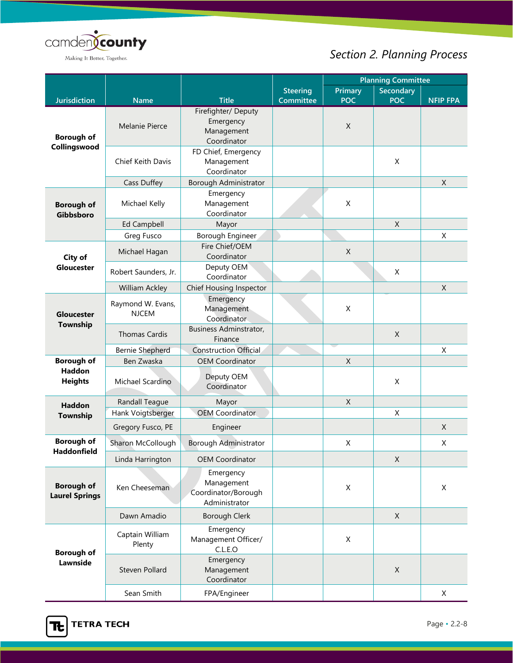

|                                            |                                   |                                                                 |                  |             | <b>Planning Committee</b> |                 |
|--------------------------------------------|-----------------------------------|-----------------------------------------------------------------|------------------|-------------|---------------------------|-----------------|
|                                            |                                   |                                                                 | <b>Steering</b>  | Primary     | <b>Secondary</b>          |                 |
| <b>Jurisdiction</b>                        | <b>Name</b>                       | <b>Title</b>                                                    | <b>Committee</b> | <b>POC</b>  | <b>POC</b>                | <b>NFIP FPA</b> |
| <b>Borough of</b><br>Collingswood          | <b>Melanie Pierce</b>             | Firefighter/ Deputy<br>Emergency<br>Management<br>Coordinator   |                  | X           |                           |                 |
|                                            | Chief Keith Davis                 | FD Chief, Emergency<br>Management<br>Coordinator                |                  |             | X                         |                 |
|                                            | Cass Duffey                       | <b>Borough Administrator</b>                                    |                  |             |                           | X               |
| <b>Borough of</b><br>Gibbsboro             | Michael Kelly                     | Emergency<br>Management<br>Coordinator                          |                  | $\mathsf X$ |                           |                 |
|                                            | <b>Ed Campbell</b>                | Mayor                                                           |                  |             | X                         |                 |
|                                            | Greg Fusco                        | Borough Engineer                                                |                  |             |                           | X               |
| City of                                    | Michael Hagan                     | Fire Chief/OEM<br>Coordinator                                   |                  | X           |                           |                 |
| Gloucester                                 | Robert Saunders, Jr.              | Deputy OEM<br>Coordinator                                       |                  |             | X                         |                 |
|                                            | William Ackley                    | Chief Housing Inspector                                         |                  |             |                           | X               |
| <b>Gloucester</b>                          | Raymond W. Evans,<br><b>NJCEM</b> | Emergency<br>Management<br>Coordinator                          |                  | $\mathsf X$ |                           |                 |
| Township                                   | <b>Thomas Cardis</b>              | <b>Business Adminstrator,</b><br>Finance                        |                  |             | $\mathsf{X}$              |                 |
|                                            | <b>Bernie Shepherd</b>            | <b>Construction Official</b>                                    |                  |             |                           | X               |
| <b>Borough of</b>                          | Ben Zwaska                        | <b>OEM Coordinator</b>                                          |                  | $\mathsf X$ |                           |                 |
| <b>Haddon</b><br><b>Heights</b>            | Michael Scardino                  | Deputy OEM<br>Coordinator                                       |                  |             | X                         |                 |
| <b>Haddon</b>                              | Randall Teague                    | Mayor                                                           |                  | $\mathsf X$ |                           |                 |
| Township                                   | Hank Voigtsberger                 | <b>OEM Coordinator</b>                                          |                  |             | X                         |                 |
|                                            | Gregory Fusco, PE                 | Engineer                                                        |                  |             |                           | $\mathsf{X}$    |
| <b>Borough of</b><br><b>Haddonfield</b>    | Sharon McCollough                 | <b>Borough Administrator</b>                                    |                  | X           |                           | Χ               |
|                                            | Linda Harrington                  | <b>OEM Coordinator</b>                                          |                  |             | X                         |                 |
| <b>Borough of</b><br><b>Laurel Springs</b> | Ken Cheeseman                     | Emergency<br>Management<br>Coordinator/Borough<br>Administrator |                  | X           |                           | X               |
|                                            | Dawn Amadio                       | <b>Borough Clerk</b>                                            |                  |             | X                         |                 |
| <b>Borough of</b>                          | Captain William<br>Plenty         | Emergency<br>Management Officer/<br>C.L.E.O                     |                  | $\mathsf X$ |                           |                 |
| Lawnside                                   | Steven Pollard                    | Emergency<br>Management<br>Coordinator                          |                  |             | $\mathsf X$               |                 |
|                                            | Sean Smith                        | FPA/Engineer                                                    |                  |             |                           | X               |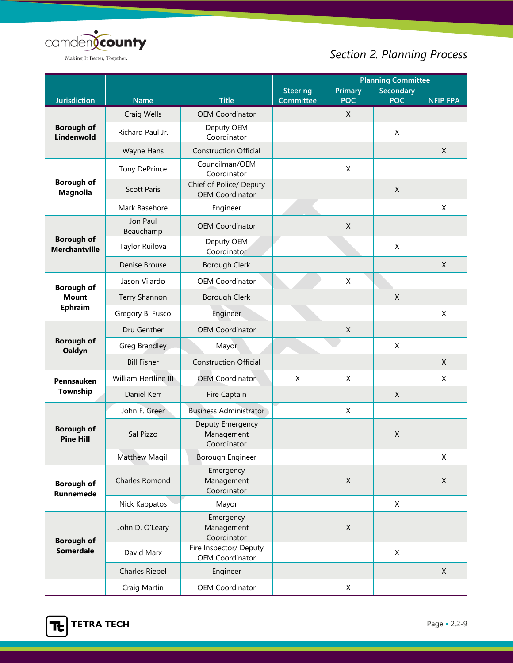

|                                           |                       |                                                   |                              |                              | <b>Planning Committee</b>      |                 |
|-------------------------------------------|-----------------------|---------------------------------------------------|------------------------------|------------------------------|--------------------------------|-----------------|
| Jurisdiction                              | <b>Name</b>           | <b>Title</b>                                      | <b>Steering</b><br>Committee | <b>Primary</b><br><b>POC</b> | <b>Secondary</b><br><b>POC</b> | <b>NFIP FPA</b> |
|                                           | Craig Wells           | <b>OEM Coordinator</b>                            |                              | $\mathsf{X}$                 |                                |                 |
| <b>Borough of</b>                         |                       | Deputy OEM                                        |                              |                              |                                |                 |
| Lindenwold                                | Richard Paul Jr.      | Coordinator                                       |                              |                              | X                              |                 |
|                                           | Wayne Hans            | <b>Construction Official</b>                      |                              |                              |                                | X               |
|                                           | Tony DePrince         | Councilman/OEM<br>Coordinator                     |                              | X                            |                                |                 |
| <b>Borough of</b><br>Magnolia             | <b>Scott Paris</b>    | Chief of Police/ Deputy<br><b>OEM Coordinator</b> |                              |                              | X                              |                 |
|                                           | Mark Basehore         | Engineer                                          |                              |                              |                                | X               |
|                                           | Jon Paul<br>Beauchamp | <b>OEM Coordinator</b>                            |                              | X                            |                                |                 |
| <b>Borough of</b><br><b>Merchantville</b> | Taylor Ruilova        | Deputy OEM<br>Coordinator                         |                              |                              | X                              |                 |
|                                           | Denise Brouse         | Borough Clerk                                     |                              |                              |                                | $\mathsf{X}$    |
| <b>Borough of</b>                         | Jason Vilardo         | <b>OEM Coordinator</b>                            |                              | X                            |                                |                 |
| <b>Mount</b>                              | Terry Shannon         | <b>Borough Clerk</b>                              |                              |                              | X                              |                 |
| <b>Ephraim</b>                            | Gregory B. Fusco      | Engineer                                          |                              |                              |                                | X               |
|                                           | Dru Genther           | <b>OEM Coordinator</b>                            |                              | X                            |                                |                 |
| <b>Borough of</b><br><b>Oaklyn</b>        | Greg Brandley         | Mayor                                             |                              |                              | X                              |                 |
|                                           | <b>Bill Fisher</b>    | <b>Construction Official</b>                      |                              |                              |                                | X               |
| Pennsauken                                | William Hertline III  | <b>OEM Coordinator</b>                            | Χ                            | X                            |                                | Χ               |
| Township                                  | Daniel Kerr           | Fire Captain                                      |                              |                              | X                              |                 |
|                                           | John F. Greer         | <b>Business Administrator</b>                     |                              | X                            |                                |                 |
| <b>Borough of</b><br><b>Pine Hill</b>     | Sal Pizzo             | Deputy Emergency<br>Management<br>Coordinator     |                              |                              | X                              |                 |
|                                           | <b>Matthew Magill</b> | Borough Engineer                                  |                              |                              |                                | X               |
| <b>Borough of</b><br>Runnemede            | Charles Romond        | Emergency<br>Management<br>Coordinator            |                              | X                            |                                | X               |
|                                           | Nick Kappatos         | Mayor                                             |                              |                              | X                              |                 |
| <b>Borough of</b>                         | John D. O'Leary       | Emergency<br>Management<br>Coordinator            |                              | X                            |                                |                 |
| <b>Somerdale</b>                          | David Marx            | Fire Inspector/ Deputy<br>OEM Coordinator         |                              |                              | $\mathsf X$                    |                 |
|                                           | <b>Charles Riebel</b> | Engineer                                          |                              |                              |                                | X               |
|                                           | Craig Martin          | OEM Coordinator                                   |                              | X                            |                                |                 |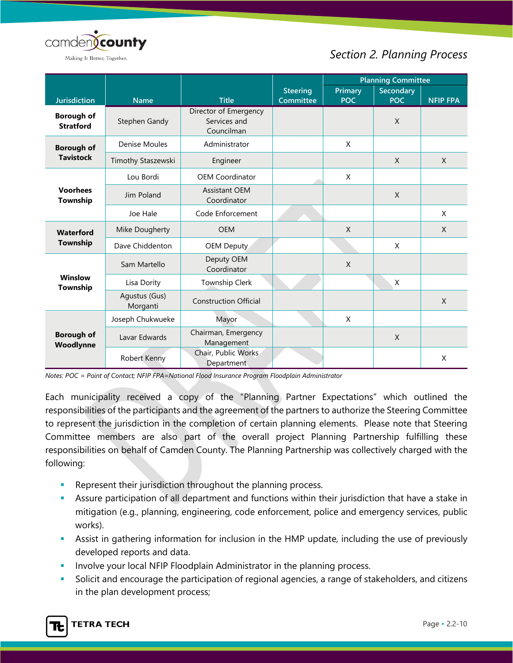

## *Section 2. Planning Process*

|                                       |                           |                                                     |                              |                       | <b>Planning Committee</b>      |                 |
|---------------------------------------|---------------------------|-----------------------------------------------------|------------------------------|-----------------------|--------------------------------|-----------------|
| <b>Jurisdiction</b>                   | <b>Name</b>               | <b>Title</b>                                        | <b>Steering</b><br>Committee | Primary<br><b>POC</b> | <b>Secondary</b><br><b>POC</b> | <b>NFIP FPA</b> |
| <b>Borough of</b><br><b>Stratford</b> | Stephen Gandy             | Director of Emergency<br>Services and<br>Councilman |                              |                       | X                              |                 |
| <b>Borough of</b>                     | Denise Moules             | Administrator                                       |                              | X                     |                                |                 |
| <b>Tavistock</b>                      | Timothy Staszewski        | Engineer                                            |                              |                       | X                              | $\mathsf{X}$    |
|                                       | Lou Bordi                 | <b>OEM Coordinator</b>                              |                              | X                     |                                |                 |
| <b>Voorhees</b><br>Township           | Jim Poland                | <b>Assistant OEM</b><br>Coordinator                 |                              |                       | $\sf X$                        |                 |
|                                       | Joe Hale                  | Code Enforcement                                    |                              |                       |                                | X               |
| Waterford                             | Mike Dougherty            | <b>OEM</b>                                          |                              | $\mathsf{X}$          |                                | $\mathsf{X}$    |
| Township                              | Dave Chiddenton           | <b>OEM Deputy</b>                                   |                              |                       | X                              |                 |
|                                       | Sam Martello              | Deputy OEM<br>Coordinator                           |                              | $\mathsf{X}$          |                                |                 |
| <b>Winslow</b><br>Township            | Lisa Dority               | Township Clerk                                      |                              |                       | X                              |                 |
|                                       | Agustus (Gus)<br>Morganti | <b>Construction Official</b>                        |                              |                       |                                | $\mathsf{X}$    |
|                                       | Joseph Chukwueke          | Mayor                                               |                              | X                     |                                |                 |
| <b>Borough of</b><br>Woodlynne        | Lavar Edwards             | Chairman, Emergency<br>Management                   |                              |                       | $\mathsf{X}$                   |                 |
|                                       | Robert Kenny              | Chair, Public Works<br>Department                   |                              |                       |                                | $\mathsf{X}$    |

*Notes: POC = Point of Contact; NFIP FPA=National Flood Insurance Program Floodplain Administrator*

Each municipality received a copy of the "Planning Partner Expectations" which outlined the responsibilities of the participants and the agreement of the partners to authorize the Steering Committee to represent the jurisdiction in the completion of certain planning elements. Please note that Steering Committee members are also part of the overall project Planning Partnership fulfilling these responsibilities on behalf of Camden County. The Planning Partnership was collectively charged with the following:

- Represent their jurisdiction throughout the planning process.
- Assure participation of all department and functions within their jurisdiction that have a stake in mitigation (e.g., planning, engineering, code enforcement, police and emergency services, public works).
- Assist in gathering information for inclusion in the HMP update, including the use of previously developed reports and data.
- **Involve your local NFIP Floodplain Administrator in the planning process.**
- Solicit and encourage the participation of regional agencies, a range of stakeholders, and citizens in the plan development process;

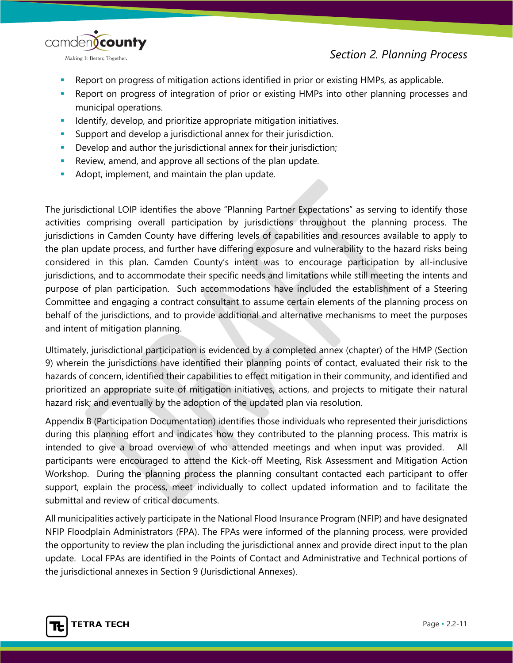

- Report on progress of mitigation actions identified in prior or existing HMPs, as applicable.
- Report on progress of integration of prior or existing HMPs into other planning processes and municipal operations.
- Identify, develop, and prioritize appropriate mitigation initiatives.
- **Support and develop a jurisdictional annex for their jurisdiction.**
- Develop and author the jurisdictional annex for their jurisdiction;
- Review, amend, and approve all sections of the plan update.
- Adopt, implement, and maintain the plan update.

The jurisdictional LOIP identifies the above "Planning Partner Expectations" as serving to identify those activities comprising overall participation by jurisdictions throughout the planning process. The jurisdictions in Camden County have differing levels of capabilities and resources available to apply to the plan update process, and further have differing exposure and vulnerability to the hazard risks being considered in this plan. Camden County's intent was to encourage participation by all-inclusive jurisdictions, and to accommodate their specific needs and limitations while still meeting the intents and purpose of plan participation. Such accommodations have included the establishment of a Steering Committee and engaging a contract consultant to assume certain elements of the planning process on behalf of the jurisdictions, and to provide additional and alternative mechanisms to meet the purposes and intent of mitigation planning.

Ultimately, jurisdictional participation is evidenced by a completed annex (chapter) of the HMP (Section 9) wherein the jurisdictions have identified their planning points of contact, evaluated their risk to the hazards of concern, identified their capabilities to effect mitigation in their community, and identified and prioritized an appropriate suite of mitigation initiatives, actions, and projects to mitigate their natural hazard risk; and eventually by the adoption of the updated plan via resolution.

Appendix B (Participation Documentation) identifies those individuals who represented their jurisdictions during this planning effort and indicates how they contributed to the planning process. This matrix is intended to give a broad overview of who attended meetings and when input was provided. All participants were encouraged to attend the Kick-off Meeting, Risk Assessment and Mitigation Action Workshop. During the planning process the planning consultant contacted each participant to offer support, explain the process, meet individually to collect updated information and to facilitate the submittal and review of critical documents.

All municipalities actively participate in the National Flood Insurance Program (NFIP) and have designated NFIP Floodplain Administrators (FPA). The FPAs were informed of the planning process, were provided the opportunity to review the plan including the jurisdictional annex and provide direct input to the plan update. Local FPAs are identified in the Points of Contact and Administrative and Technical portions of the jurisdictional annexes in Section 9 (Jurisdictional Annexes).

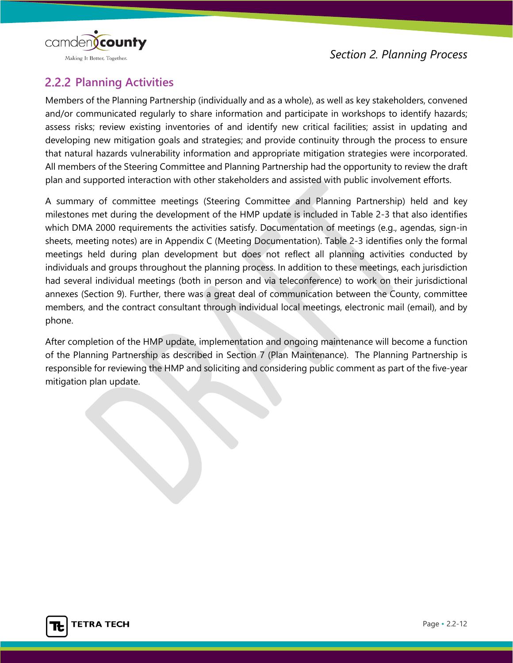

### **Planning Activities**

Members of the Planning Partnership (individually and as a whole), as well as key stakeholders, convened and/or communicated regularly to share information and participate in workshops to identify hazards; assess risks; review existing inventories of and identify new critical facilities; assist in updating and developing new mitigation goals and strategies; and provide continuity through the process to ensure that natural hazards vulnerability information and appropriate mitigation strategies were incorporated. All members of the Steering Committee and Planning Partnership had the opportunity to review the draft plan and supported interaction with other stakeholders and assisted with public involvement efforts.

A summary of committee meetings (Steering Committee and Planning Partnership) held and key milestones met during the development of the HMP update is included in Table 2-3 that also identifies which DMA 2000 requirements the activities satisfy. Documentation of meetings (e.g., agendas, sign-in sheets, meeting notes) are in Appendix C (Meeting Documentation). Table 2-3 identifies only the formal meetings held during plan development but does not reflect all planning activities conducted by individuals and groups throughout the planning process. In addition to these meetings, each jurisdiction had several individual meetings (both in person and via teleconference) to work on their jurisdictional annexes (Section 9). Further, there was a great deal of communication between the County, committee members, and the contract consultant through individual local meetings, electronic mail (email), and by phone.

After completion of the HMP update, implementation and ongoing maintenance will become a function of the Planning Partnership as described in Section 7 (Plan Maintenance). The Planning Partnership is responsible for reviewing the HMP and soliciting and considering public comment as part of the five-year mitigation plan update.

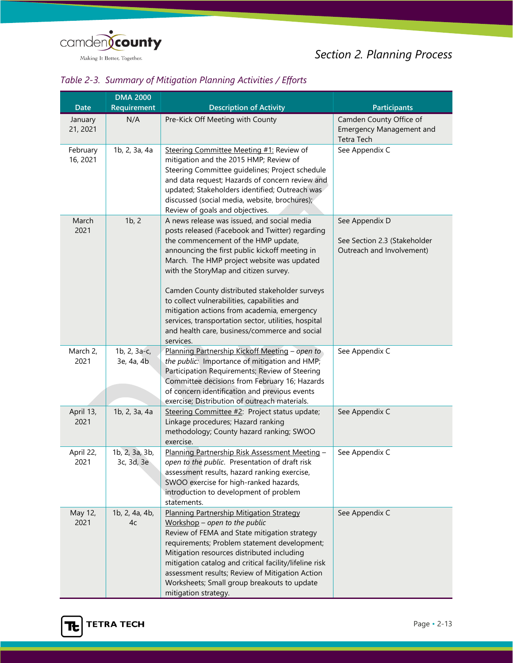

|                      | <b>DMA 2000</b>              |                                                                                                                                                                                                                                                                                                                                                                                                                                                                                                                                                      |                                                                             |
|----------------------|------------------------------|------------------------------------------------------------------------------------------------------------------------------------------------------------------------------------------------------------------------------------------------------------------------------------------------------------------------------------------------------------------------------------------------------------------------------------------------------------------------------------------------------------------------------------------------------|-----------------------------------------------------------------------------|
| <b>Date</b>          | Requirement                  | <b>Description of Activity</b>                                                                                                                                                                                                                                                                                                                                                                                                                                                                                                                       | <b>Participants</b>                                                         |
| January<br>21, 2021  | N/A                          | Pre-Kick Off Meeting with County                                                                                                                                                                                                                                                                                                                                                                                                                                                                                                                     | Camden County Office of<br><b>Emergency Management and</b><br>Tetra Tech    |
| February<br>16, 2021 | 1b, 2, 3a, 4a                | Steering Committee Meeting #1: Review of<br>mitigation and the 2015 HMP; Review of<br>Steering Committee guidelines; Project schedule<br>and data request; Hazards of concern review and<br>updated; Stakeholders identified; Outreach was<br>discussed (social media, website, brochures);<br>Review of goals and objectives.                                                                                                                                                                                                                       | See Appendix C                                                              |
| March<br>2021        | 1b, 2                        | A news release was issued, and social media<br>posts released (Facebook and Twitter) regarding<br>the commencement of the HMP update,<br>announcing the first public kickoff meeting in<br>March. The HMP project website was updated<br>with the StoryMap and citizen survey.<br>Camden County distributed stakeholder surveys<br>to collect vulnerabilities, capabilities and<br>mitigation actions from academia, emergency<br>services, transportation sector, utilities, hospital<br>and health care, business/commerce and social<br>services. | See Appendix D<br>See Section 2.3 (Stakeholder<br>Outreach and Involvement) |
| March 2,<br>2021     | 1b, 2, 3a-c,<br>3e, 4a, 4b   | Planning Partnership Kickoff Meeting - open to<br>the public: Importance of mitigation and HMP;<br>Participation Requirements; Review of Steering<br>Committee decisions from February 16; Hazards<br>of concern identification and previous events<br>exercise; Distribution of outreach materials.                                                                                                                                                                                                                                                 | See Appendix C                                                              |
| April 13,<br>2021    | 1b, 2, 3a, 4a                | Steering Committee #2: Project status update;<br>Linkage procedures; Hazard ranking<br>methodology; County hazard ranking; SWOO<br>exercise.                                                                                                                                                                                                                                                                                                                                                                                                         | See Appendix C                                                              |
| April 22,<br>2021    | 1b, 2, 3a, 3b,<br>3c, 3d, 3e | Planning Partnership Risk Assessment Meeting -<br>open to the public. Presentation of draft risk<br>assessment results, hazard ranking exercise,<br>SWOO exercise for high-ranked hazards,<br>introduction to development of problem<br>statements.                                                                                                                                                                                                                                                                                                  | See Appendix C                                                              |
| May 12,<br>2021      | 1b, 2, 4a, 4b,<br>4c         | Planning Partnership Mitigation Strategy<br>Workshop - open to the public<br>Review of FEMA and State mitigation strategy<br>requirements; Problem statement development;<br>Mitigation resources distributed including<br>mitigation catalog and critical facility/lifeline risk<br>assessment results; Review of Mitigation Action<br>Worksheets; Small group breakouts to update<br>mitigation strategy.                                                                                                                                          | See Appendix C                                                              |

#### *Table 2-3. Summary of Mitigation Planning Activities / Efforts*

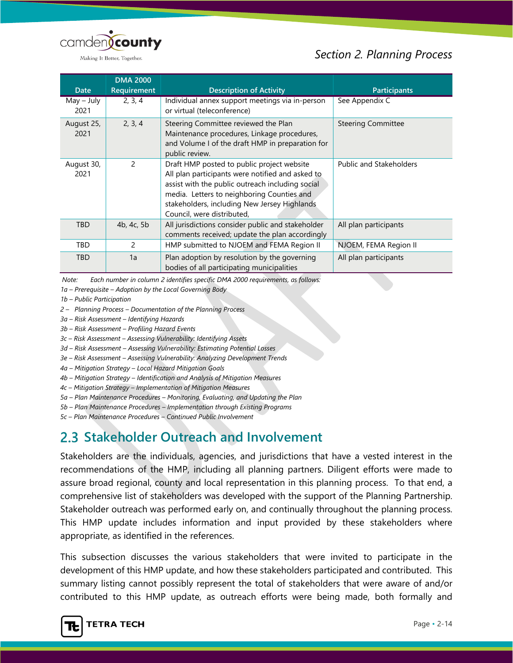

### *Section 2. Planning Process*

| <b>Date</b>          | <b>DMA 2000</b><br>Requirement | <b>Description of Activity</b>                                                                                                                                                                                                                                                 | <b>Participants</b>            |
|----------------------|--------------------------------|--------------------------------------------------------------------------------------------------------------------------------------------------------------------------------------------------------------------------------------------------------------------------------|--------------------------------|
| $May - July$<br>2021 | 2, 3, 4                        | Individual annex support meetings via in-person<br>or virtual (teleconference)                                                                                                                                                                                                 | See Appendix C                 |
| August 25,<br>2021   | 2, 3, 4                        | Steering Committee reviewed the Plan<br>Maintenance procedures, Linkage procedures,<br>and Volume I of the draft HMP in preparation for<br>public review.                                                                                                                      | <b>Steering Committee</b>      |
| August 30,<br>2021   | 2                              | Draft HMP posted to public project website<br>All plan participants were notified and asked to<br>assist with the public outreach including social<br>media. Letters to neighboring Counties and<br>stakeholders, including New Jersey Highlands<br>Council, were distributed, | <b>Public and Stakeholders</b> |
| <b>TBD</b>           | 4b, 4c, 5b                     | All jurisdictions consider public and stakeholder<br>comments received; update the plan accordingly                                                                                                                                                                            | All plan participants          |
| TBD                  | $\mathcal{P}$                  | HMP submitted to NJOEM and FEMA Region II                                                                                                                                                                                                                                      | NJOEM, FEMA Region II          |
| <b>TBD</b>           | 1a                             | Plan adoption by resolution by the governing<br>bodies of all participating municipalities                                                                                                                                                                                     | All plan participants          |

*Note: Each number in column 2 identifies specific DMA 2000 requirements, as follows:*

*1a – Prerequisite – Adoption by the Local Governing Body*

*1b – Public Participation*

*2 – Planning Process – Documentation of the Planning Process*

*3a – Risk Assessment – Identifying Hazards*

*3b – Risk Assessment – Profiling Hazard Events*

*3c – Risk Assessment – Assessing Vulnerability: Identifying Assets*

*3d – Risk Assessment – Assessing Vulnerability: Estimating Potential Losses*

*3e – Risk Assessment – Assessing Vulnerability: Analyzing Development Trends*

*4a – Mitigation Strategy – Local Hazard Mitigation Goals*

*4b – Mitigation Strategy – Identification and Analysis of Mitigation Measures*

*4c – Mitigation Strategy – Implementation of Mitigation Measures*

*5a – Plan Maintenance Procedures – Monitoring, Evaluating, and Updating the Plan*

*5b – Plan Maintenance Procedures – Implementation through Existing Programs*

*5c – Plan Maintenance Procedures – Continued Public Involvement*

## **Stakeholder Outreach and Involvement**

Stakeholders are the individuals, agencies, and jurisdictions that have a vested interest in the recommendations of the HMP, including all planning partners. Diligent efforts were made to assure broad regional, county and local representation in this planning process. To that end, a comprehensive list of stakeholders was developed with the support of the Planning Partnership. Stakeholder outreach was performed early on, and continually throughout the planning process. This HMP update includes information and input provided by these stakeholders where appropriate, as identified in the references.

This subsection discusses the various stakeholders that were invited to participate in the development of this HMP update, and how these stakeholders participated and contributed. This summary listing cannot possibly represent the total of stakeholders that were aware of and/or contributed to this HMP update, as outreach efforts were being made, both formally and

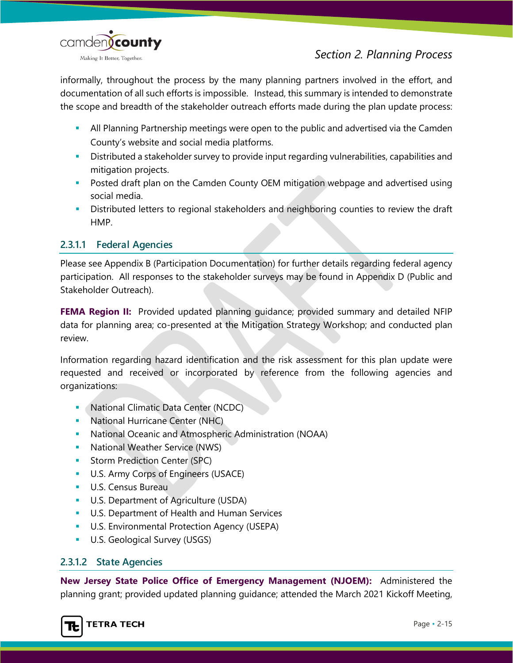

informally, throughout the process by the many planning partners involved in the effort, and documentation of all such efforts is impossible. Instead, this summary is intended to demonstrate the scope and breadth of the stakeholder outreach efforts made during the plan update process:

- All Planning Partnership meetings were open to the public and advertised via the Camden County's website and social media platforms.
- **•** Distributed a stakeholder survey to provide input regarding vulnerabilities, capabilities and mitigation projects.
- **Posted draft plan on the Camden County OEM mitigation webpage and advertised using** social media.
- Distributed letters to regional stakeholders and neighboring counties to review the draft HMP.

#### **2.3.1.1 Federal Agencies**

Please see Appendix B (Participation Documentation) for further details regarding federal agency participation. All responses to the stakeholder surveys may be found in Appendix D (Public and Stakeholder Outreach).

**FEMA Region II:** Provided updated planning guidance; provided summary and detailed NFIP data for planning area; co-presented at the Mitigation Strategy Workshop; and conducted plan review.

Information regarding hazard identification and the risk assessment for this plan update were requested and received or incorporated by reference from the following agencies and organizations:

- **National Climatic Data Center (NCDC)**
- **National Hurricane Center (NHC)**
- National Oceanic and Atmospheric Administration (NOAA)
- **National Weather Service (NWS)**
- **Storm Prediction Center (SPC)**
- **U.S. Army Corps of Engineers (USACE)**
- **U.S. Census Bureau**
- **U.S. Department of Agriculture (USDA)**
- **U.S. Department of Health and Human Services**
- **U.S. Environmental Protection Agency (USEPA)**
- **U.S. Geological Survey (USGS)**

#### **2.3.1.2 State Agencies**

**New Jersey State Police Office of Emergency Management (NJOEM):** Administered the planning grant; provided updated planning guidance; attended the March 2021 Kickoff Meeting,

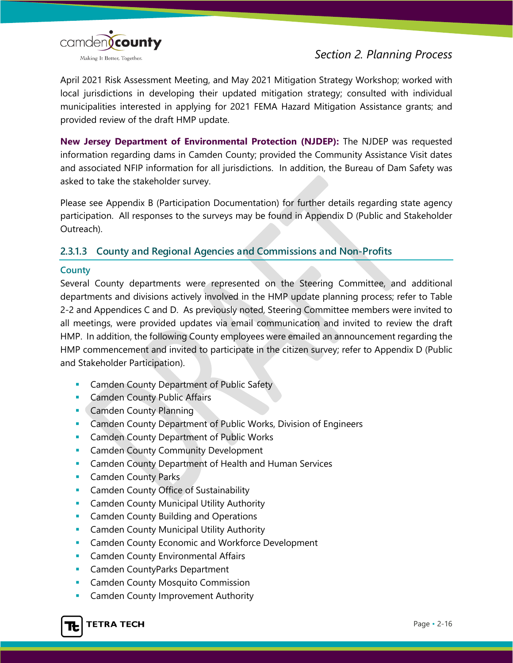

April 2021 Risk Assessment Meeting, and May 2021 Mitigation Strategy Workshop; worked with local jurisdictions in developing their updated mitigation strategy; consulted with individual municipalities interested in applying for 2021 FEMA Hazard Mitigation Assistance grants; and provided review of the draft HMP update.

**New Jersey Department of Environmental Protection (NJDEP):** The NJDEP was requested information regarding dams in Camden County; provided the Community Assistance Visit dates and associated NFIP information for all jurisdictions. In addition, the Bureau of Dam Safety was asked to take the stakeholder survey.

Please see Appendix B (Participation Documentation) for further details regarding state agency participation. All responses to the surveys may be found in Appendix D (Public and Stakeholder Outreach).

#### **2.3.1.3 County and Regional Agencies and Commissions and Non-Profits**

#### **County**

Several County departments were represented on the Steering Committee, and additional departments and divisions actively involved in the HMP update planning process; refer to Table 2-2 and Appendices C and D. As previously noted, Steering Committee members were invited to all meetings, were provided updates via email communication and invited to review the draft HMP. In addition, the following County employees were emailed an announcement regarding the HMP commencement and invited to participate in the citizen survey; refer to Appendix D (Public and Stakeholder Participation).

- **EXECOUNTY Camden County Department of Public Safety**
- **Camden County Public Affairs**
- **Camden County Planning**
- **Camden County Department of Public Works, Division of Engineers**
- **Camden County Department of Public Works**
- **Camden County Community Development**
- **EXECO Arm County Department of Health and Human Services**
- **Camden County Parks**
- **Camden County Office of Sustainability**
- **EXECOMMEN COUNTLEY MUNICIPAL Utility Authority**
- **EXECOUNTY Building and Operations**
- **EXECOMMEN COUNTLEY Municipal Utility Authority**
- **EXECO ADDEN COUNTY ECONOMIC AND WORKFORCE Development**
- **Camden County Environmental Affairs**
- **Camden CountyParks Department**
- **EXEC** Camden County Mosquito Commission
- **EXECOMMENT COUNTY CAMBED COUNTY** Camden County Improvement Authority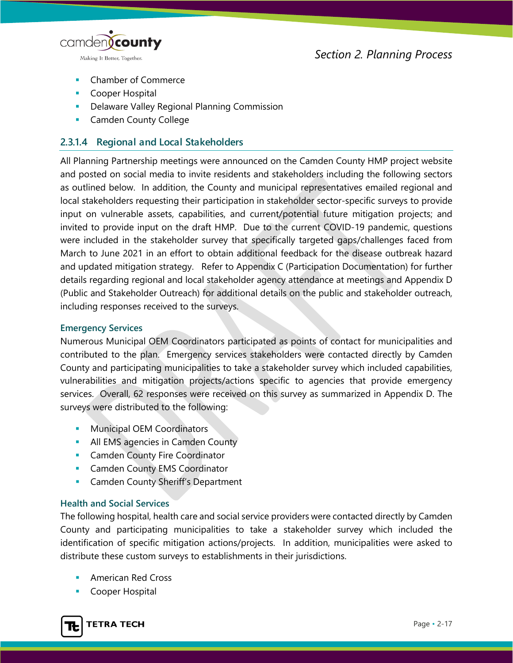

- Chamber of Commerce
- **Cooper Hospital**
- **-** Delaware Valley Regional Planning Commission
- **Camden County College**

#### **2.3.1.4 Regional and Local Stakeholders**

All Planning Partnership meetings were announced on the Camden County HMP project website and posted on social media to invite residents and stakeholders including the following sectors as outlined below. In addition, the County and municipal representatives emailed regional and local stakeholders requesting their participation in stakeholder sector-specific surveys to provide input on vulnerable assets, capabilities, and current/potential future mitigation projects; and invited to provide input on the draft HMP. Due to the current COVID-19 pandemic, questions were included in the stakeholder survey that specifically targeted gaps/challenges faced from March to June 2021 in an effort to obtain additional feedback for the disease outbreak hazard and updated mitigation strategy. Refer to Appendix C (Participation Documentation) for further details regarding regional and local stakeholder agency attendance at meetings and Appendix D (Public and Stakeholder Outreach) for additional details on the public and stakeholder outreach, including responses received to the surveys.

#### **Emergency Services**

Numerous Municipal OEM Coordinators participated as points of contact for municipalities and contributed to the plan. Emergency services stakeholders were contacted directly by Camden County and participating municipalities to take a stakeholder survey which included capabilities, vulnerabilities and mitigation projects/actions specific to agencies that provide emergency services. Overall, 62 responses were received on this survey as summarized in Appendix D. The surveys were distributed to the following:

- Municipal OEM Coordinators
- **All EMS agencies in Camden County**
- **Camden County Fire Coordinator**
- **Camden County EMS Coordinator**
- **Camden County Sheriff's Department**

#### **Health and Social Services**

The following hospital, health care and social service providers were contacted directly by Camden County and participating municipalities to take a stakeholder survey which included the identification of specific mitigation actions/projects. In addition, municipalities were asked to distribute these custom surveys to establishments in their jurisdictions.

- American Red Cross
- Cooper Hospital

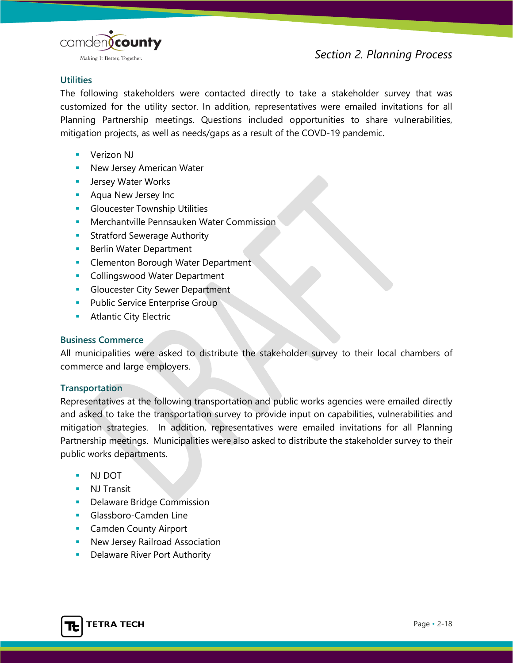

#### **Utilities**

The following stakeholders were contacted directly to take a stakeholder survey that was customized for the utility sector. In addition, representatives were emailed invitations for all Planning Partnership meetings. Questions included opportunities to share vulnerabilities, mitigation projects, as well as needs/gaps as a result of the COVD-19 pandemic.

- **•** Verizon NJ
- New Jersey American Water
- **Jersey Water Works**
- **Aqua New Jersey Inc.**
- **Gloucester Township Utilities**
- **Merchantville Pennsauken Water Commission**
- **Stratford Sewerage Authority**
- **Berlin Water Department**
- **Clementon Borough Water Department**
- **Collingswood Water Department**
- **Gloucester City Sewer Department**
- **Public Service Enterprise Group**
- **Atlantic City Electric**

#### **Business Commerce**

All municipalities were asked to distribute the stakeholder survey to their local chambers of commerce and large employers.

#### **Transportation**

Representatives at the following transportation and public works agencies were emailed directly and asked to take the transportation survey to provide input on capabilities, vulnerabilities and mitigation strategies. In addition, representatives were emailed invitations for all Planning Partnership meetings. Municipalities were also asked to distribute the stakeholder survey to their public works departments.

- NJ DOT
- **NJ** Transit
- **Delaware Bridge Commission**
- **Glassboro-Camden Line**
- **Camden County Airport**
- **New Jersey Railroad Association**
- **-** Delaware River Port Authority

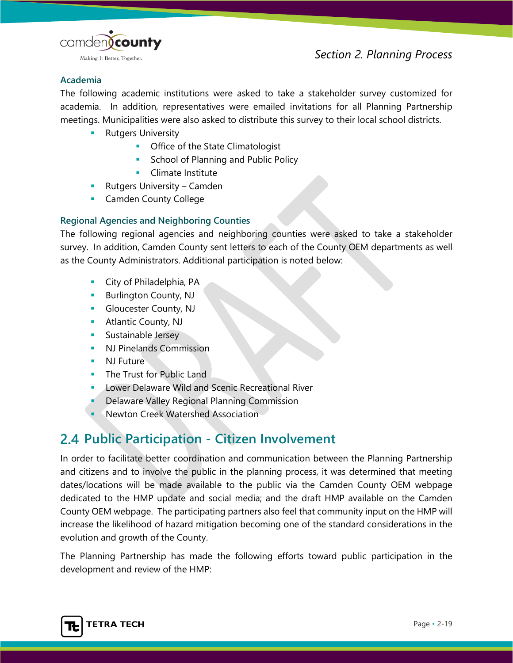

#### **Academia**

The following academic institutions were asked to take a stakeholder survey customized for academia. In addition, representatives were emailed invitations for all Planning Partnership meetings. Municipalities were also asked to distribute this survey to their local school districts.

- **Rutgers University** 
	- **Office of the State Climatologist**
	- **School of Planning and Public Policy**
	- **Climate Institute**
- Rutgers University Camden
- **Camden County College**

#### **Regional Agencies and Neighboring Counties**

The following regional agencies and neighboring counties were asked to take a stakeholder survey. In addition, Camden County sent letters to each of the County OEM departments as well as the County Administrators. Additional participation is noted below:

- **City of Philadelphia, PA**
- **Burlington County, NJ**
- **Gloucester County, NJ**
- **Atlantic County, NJ**
- **Sustainable Jersey**
- **NJ Pinelands Commission**
- **NJ** Future
- **The Trust for Public Land**
- **Lower Delaware Wild and Scenic Recreational River**
- **Delaware Valley Regional Planning Commission**
- Newton Creek Watershed Association

## **Public Participation - Citizen Involvement**

In order to facilitate better coordination and communication between the Planning Partnership and citizens and to involve the public in the planning process, it was determined that meeting dates/locations will be made available to the public via the Camden County OEM webpage dedicated to the HMP update and social media; and the draft HMP available on the Camden County OEM webpage. The participating partners also feel that community input on the HMP will increase the likelihood of hazard mitigation becoming one of the standard considerations in the evolution and growth of the County.

The Planning Partnership has made the following efforts toward public participation in the development and review of the HMP:

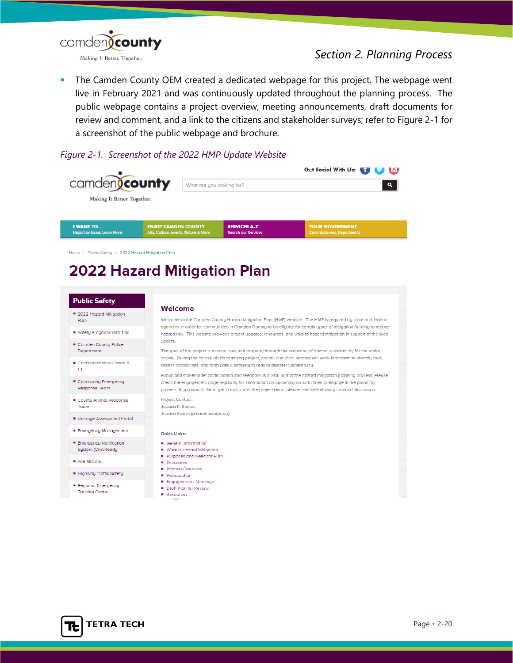

**The Camden County OEM created a dedicated webpage for this project. The webpage went** live in February 2021 and was continuously updated throughout the planning process. The public webpage contains a project overview, meeting announcements, draft documents for review and comment, and a link to the citizens and stakeholder surveys; refer to Figure 2-1 for a screenshot of the public webpage and brochure.

#### *Figure 2-1. Screenshot of the 2022 HMP Update Website*

|                             |                                      |                            | Get Social With Us: [7]           |
|-----------------------------|--------------------------------------|----------------------------|-----------------------------------|
| camdencounty                | What are you looking for?            |                            | Q                                 |
| Making It Better, Together. |                                      |                            |                                   |
|                             |                                      |                            |                                   |
| <b>I WANT TO</b>            | <b>ENJOY CAMDEN COUNTY</b>           | <b>SERVICES A-Z</b>        | <b>YOUR GOVERNMENT</b>            |
| Report an Issue, Learn More | Arts, Culture, Events, Nature & More | <b>Search our Services</b> | <b>Commissioners, Departments</b> |
|                             |                                      |                            |                                   |

Home » Public Safety » 2022 Hazard Mitigation Plan

# **2022 Hazard Mitigation Plan**

| ■ 2022 Hazard Mitigation                     | Welcome                                                                                                                                                                                                                                     |
|----------------------------------------------|---------------------------------------------------------------------------------------------------------------------------------------------------------------------------------------------------------------------------------------------|
| Plan                                         | Welcome to the Camden County Hazard Mitigation Plan (HMP) website. The HMP is required by state and federal                                                                                                                                 |
| Safety Programs and Tips                     | agencies in order for communities in Camden County to be eligible for certain types of mitigation funding to reduce<br>hazard risk. This website provides project updates, resources, and links to hazard mitigation in support of the plan |
| Camden County Police                         | update.                                                                                                                                                                                                                                     |
| Department                                   | The goal of the project is to save lives and property through the reduction of hazard vulnerability for the entire                                                                                                                          |
| Communications Center 9-<br>$1 - 1$          | county. During the course of this planning project, county and local leaders will work in tandem to identify risks,<br>assess capabilities, and formulate a strategy to reduce disaster vulnerability.                                      |
|                                              | Public and stakeholder participation and feedback is a vital part of the hazard mitigation planning process. Please                                                                                                                         |
| ■ Community Emergency                        | check the engagement page regularly for information on upcoming opportunities to engage in the planning                                                                                                                                     |
| Response Team                                | process. If you would like to get in touch with the project team, please use the following contact information:                                                                                                                             |
| County Animal Response                       | <b>Project Contact:</b>                                                                                                                                                                                                                     |
| Team                                         | Jessica R. Stokes                                                                                                                                                                                                                           |
| • Damage Assessment Portal                   | Jessica.Stokes@camdencodps.org                                                                                                                                                                                                              |
| <b>Emergency Management</b>                  | <b>Quick Links:</b>                                                                                                                                                                                                                         |
| <b>Emergency Notification</b>                | General Information                                                                                                                                                                                                                         |
| System (CivicReady)                          | • What is Hazard Mitigation                                                                                                                                                                                                                 |
| <b>Eire Marshall</b>                         | Purposes and Need for Plan                                                                                                                                                                                                                  |
|                                              | ■ Outcomes<br>Process Overview                                                                                                                                                                                                              |
| • Highway Traffic Safety                     | <b>Participation</b>                                                                                                                                                                                                                        |
|                                              | <b>Engagement / Meetings</b>                                                                                                                                                                                                                |
| Regional Emergency<br><b>Training Center</b> | • Draft Plan for Review                                                                                                                                                                                                                     |
|                                              | <b>Resources</b>                                                                                                                                                                                                                            |

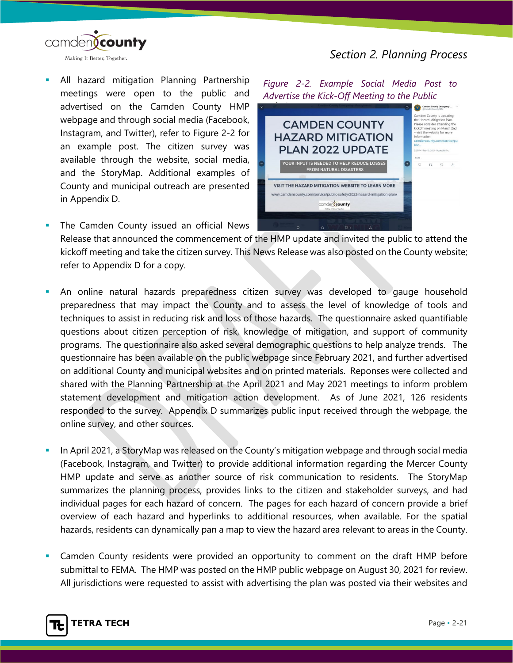

- All hazard mitigation Planning Partnership meetings were open to the public and advertised on the Camden County HMP webpage and through social media (Facebook, Instagram, and Twitter), refer to Figure 2-2 for an example post. The citizen survey was available through the website, social media, and the StoryMap. Additional examples of County and municipal outreach are presented in Appendix D.
- The Camden County issued an official News

*Figure 2-2. Example Social Media Post to Advertise the Kick-Off Meeting to the Public*mden County is updating<br>Elazard Mitigation Plan.<br>Pase consider attending the<br>Koff meeting on March 2<br>Pisit the website for more **CAMDEN COUNTY** 

*Section 2. Planning Process*



Release that announced the commencement of the HMP update and invited the public to attend the kickoff meeting and take the citizen survey. This News Release was also posted on the County website; refer to Appendix D for a copy.

- An online natural hazards preparedness citizen survey was developed to gauge household preparedness that may impact the County and to assess the level of knowledge of tools and techniques to assist in reducing risk and loss of those hazards. The questionnaire asked quantifiable questions about citizen perception of risk, knowledge of mitigation, and support of community programs. The questionnaire also asked several demographic questions to help analyze trends. The questionnaire has been available on the public webpage since February 2021, and further advertised on additional County and municipal websites and on printed materials. Reponses were collected and shared with the Planning Partnership at the April 2021 and May 2021 meetings to inform problem statement development and mitigation action development. As of June 2021, 126 residents responded to the survey. Appendix D summarizes public input received through the webpage, the online survey, and other sources.
- In April 2021, a StoryMap was released on the County's mitigation webpage and through social media (Facebook, Instagram, and Twitter) to provide additional information regarding the Mercer County HMP update and serve as another source of risk communication to residents. The StoryMap summarizes the planning process, provides links to the citizen and stakeholder surveys, and had individual pages for each hazard of concern. The pages for each hazard of concern provide a brief overview of each hazard and hyperlinks to additional resources, when available. For the spatial hazards, residents can dynamically pan a map to view the hazard area relevant to areas in the County.
- Camden County residents were provided an opportunity to comment on the draft HMP before submittal to FEMA. The HMP was posted on the HMP public webpage on August 30, 2021 for review. All jurisdictions were requested to assist with advertising the plan was posted via their websites and

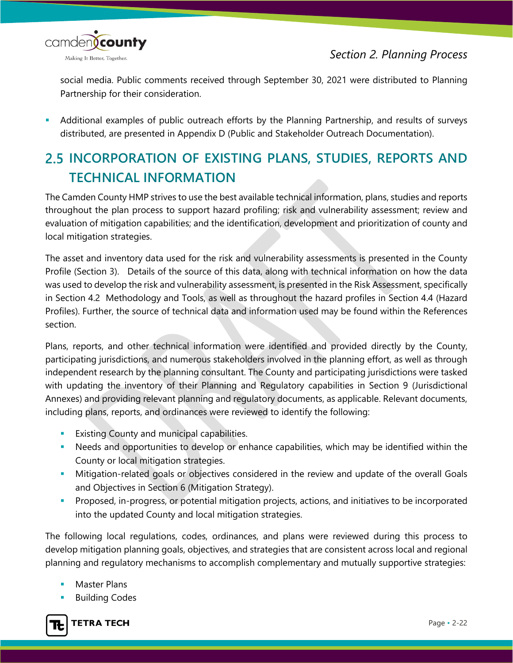



social media. Public comments received through September 30, 2021 were distributed to Planning Partnership for their consideration.

 Additional examples of public outreach efforts by the Planning Partnership, and results of surveys distributed, are presented in Appendix D (Public and Stakeholder Outreach Documentation).

# **INCORPORATION OF EXISTING PLANS, STUDIES, REPORTS AND TECHNICAL INFORMATION**

The Camden County HMP strives to use the best available technical information, plans, studies and reports throughout the plan process to support hazard profiling; risk and vulnerability assessment; review and evaluation of mitigation capabilities; and the identification, development and prioritization of county and local mitigation strategies.

The asset and inventory data used for the risk and vulnerability assessments is presented in the County Profile (Section 3). Details of the source of this data, along with technical information on how the data was used to develop the risk and vulnerability assessment, is presented in the Risk Assessment, specifically in Section 4.2 Methodology and Tools, as well as throughout the hazard profiles in Section 4.4 (Hazard Profiles). Further, the source of technical data and information used may be found within the References section.

Plans, reports, and other technical information were identified and provided directly by the County, participating jurisdictions, and numerous stakeholders involved in the planning effort, as well as through independent research by the planning consultant. The County and participating jurisdictions were tasked with updating the inventory of their Planning and Regulatory capabilities in Section 9 (Jurisdictional Annexes) and providing relevant planning and regulatory documents, as applicable. Relevant documents, including plans, reports, and ordinances were reviewed to identify the following:

- **Existing County and municipal capabilities.**
- Needs and opportunities to develop or enhance capabilities, which may be identified within the County or local mitigation strategies.
- Mitigation-related goals or objectives considered in the review and update of the overall Goals and Objectives in Section 6 (Mitigation Strategy).
- **Proposed, in-progress, or potential mitigation projects, actions, and initiatives to be incorporated** into the updated County and local mitigation strategies.

The following local regulations, codes, ordinances, and plans were reviewed during this process to develop mitigation planning goals, objectives, and strategies that are consistent across local and regional planning and regulatory mechanisms to accomplish complementary and mutually supportive strategies:

- Master Plans
- Building Codes

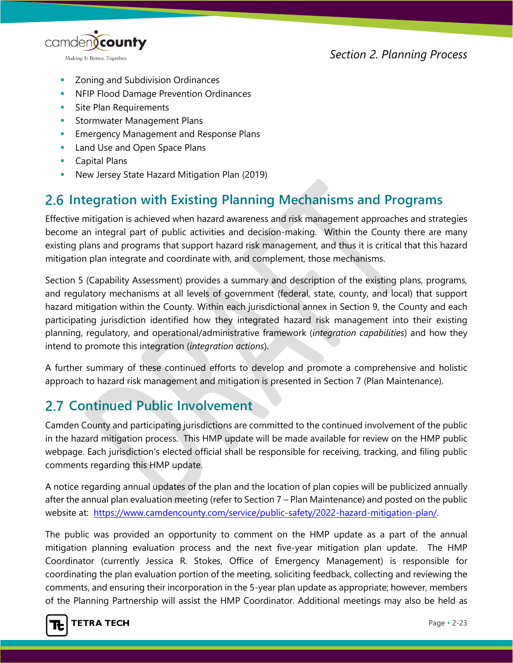

- **EXECONICE 2** Zoning and Subdivision Ordinances
- **NFIP Flood Damage Prevention Ordinances**
- **Site Plan Requirements**
- **Stormwater Management Plans**
- **Emergency Management and Response Plans**
- **Land Use and Open Space Plans**
- **Capital Plans**
- **New Jersey State Hazard Mitigation Plan (2019)**

## **Integration with Existing Planning Mechanisms and Programs**

Effective mitigation is achieved when hazard awareness and risk management approaches and strategies become an integral part of public activities and decision-making. Within the County there are many existing plans and programs that support hazard risk management, and thus it is critical that this hazard mitigation plan integrate and coordinate with, and complement, those mechanisms.

Section 5 (Capability Assessment) provides a summary and description of the existing plans, programs, and regulatory mechanisms at all levels of government (federal, state, county, and local) that support hazard mitigation within the County. Within each jurisdictional annex in Section 9, the County and each participating jurisdiction identified how they integrated hazard risk management into their existing planning, regulatory, and operational/administrative framework (*integration capabilities*) and how they intend to promote this integration (*integration actions*).

A further summary of these continued efforts to develop and promote a comprehensive and holistic approach to hazard risk management and mitigation is presented in Section 7 (Plan Maintenance).

## **Continued Public Involvement**

Camden County and participating jurisdictions are committed to the continued involvement of the public in the hazard mitigation process. This HMP update will be made available for review on the HMP public webpage. Each jurisdiction's elected official shall be responsible for receiving, tracking, and filing public comments regarding this HMP update.

A notice regarding annual updates of the plan and the location of plan copies will be publicized annually after the annual plan evaluation meeting (refer to Section 7 – Plan Maintenance) and posted on the public website at: [https://www.camdencounty.com/service/public-safety/2022-hazard-mitigation-plan/.](https://www.camdencounty.com/service/public-safety/2022-hazard-mitigation-plan/)

The public was provided an opportunity to comment on the HMP update as a part of the annual mitigation planning evaluation process and the next five-year mitigation plan update. The HMP Coordinator (currently Jessica R. Stokes, Office of Emergency Management) is responsible for coordinating the plan evaluation portion of the meeting, soliciting feedback, collecting and reviewing the comments, and ensuring their incorporation in the 5-year plan update as appropriate; however, members of the Planning Partnership will assist the HMP Coordinator. Additional meetings may also be held as